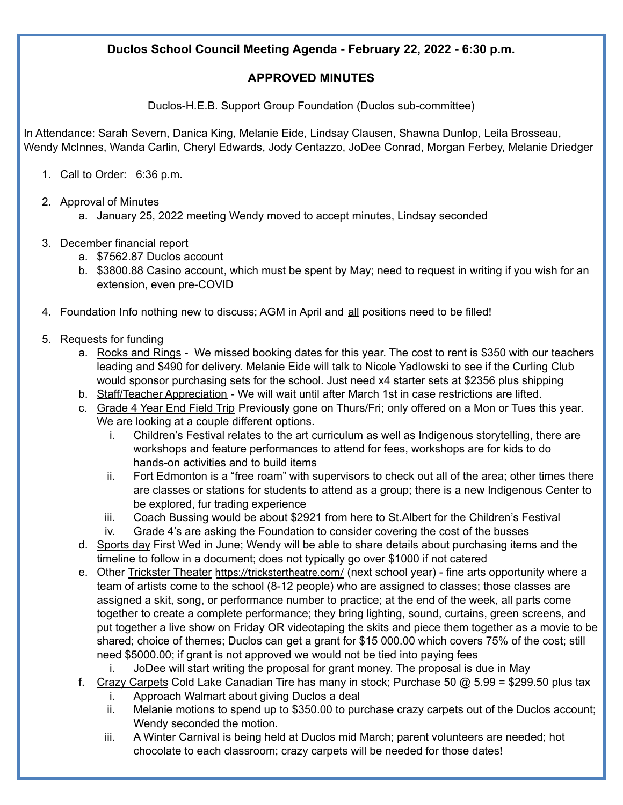## **Duclos School Council Meeting Agenda - February 22, 2022 - 6:30 p.m.**

## **APPROVED MINUTES**

Duclos-H.E.B. Support Group Foundation (Duclos sub-committee)

In Attendance: Sarah Severn, Danica King, Melanie Eide, Lindsay Clausen, Shawna Dunlop, Leila Brosseau, Wendy McInnes, Wanda Carlin, Cheryl Edwards, Jody Centazzo, JoDee Conrad, Morgan Ferbey, Melanie Driedger

- 1. Call to Order: 6:36 p.m.
- 2. Approval of Minutes
	- a. January 25, 2022 meeting Wendy moved to accept minutes, Lindsay seconded
- 3. December financial report
	- a. \$7562.87 Duclos account
	- b. \$3800.88 Casino account, which must be spent by May; need to request in writing if you wish for an extension, even pre-COVID
- 4. Foundation Info nothing new to discuss; AGM in April and all positions need to be filled!
- 5. Requests for funding
	- a. Rocks and Rings We missed booking dates for this year. The cost to rent is \$350 with our teachers leading and \$490 for delivery. Melanie Eide will talk to Nicole Yadlowski to see if the Curling Club would sponsor purchasing sets for the school. Just need x4 starter sets at \$2356 plus shipping
	- b. Staff/Teacher Appreciation We will wait until after March 1st in case restrictions are lifted.
	- c. Grade 4 Year End Field Trip Previously gone on Thurs/Fri; only offered on a Mon or Tues this year. We are looking at a couple different options.
		- i. Children's Festival relates to the art curriculum as well as Indigenous storytelling, there are workshops and feature performances to attend for fees, workshops are for kids to do hands-on activities and to build items
		- ii. Fort Edmonton is a "free roam" with supervisors to check out all of the area; other times there are classes or stations for students to attend as a group; there is a new Indigenous Center to be explored, fur trading experience
		- iii. Coach Bussing would be about \$2921 from here to St.Albert for the Children's Festival
		- iv. Grade 4's are asking the Foundation to consider covering the cost of the busses
	- d. Sports day First Wed in June; Wendy will be able to share details about purchasing items and the timeline to follow in a document; does not typically go over \$1000 if not catered
	- e. Other Trickster Theater <https://trickstertheatre.com/> (next school year) fine arts opportunity where a team of artists come to the school (8-12 people) who are assigned to classes; those classes are assigned a skit, song, or performance number to practice; at the end of the week, all parts come together to create a complete performance; they bring lighting, sound, curtains, green screens, and put together a live show on Friday OR videotaping the skits and piece them together as a movie to be shared; choice of themes; Duclos can get a grant for \$15 000.00 which covers 75% of the cost; still need \$5000.00; if grant is not approved we would not be tied into paying fees
		- i. JoDee will start writing the proposal for grant money. The proposal is due in May
	- f. Crazy Carpets Cold Lake Canadian Tire has many in stock; Purchase 50  $@$  5.99 = \$299.50 plus tax
		- i. Approach Walmart about giving Duclos a deal
		- ii. Melanie motions to spend up to \$350.00 to purchase crazy carpets out of the Duclos account; Wendy seconded the motion.
		- iii. A Winter Carnival is being held at Duclos mid March; parent volunteers are needed; hot chocolate to each classroom; crazy carpets will be needed for those dates!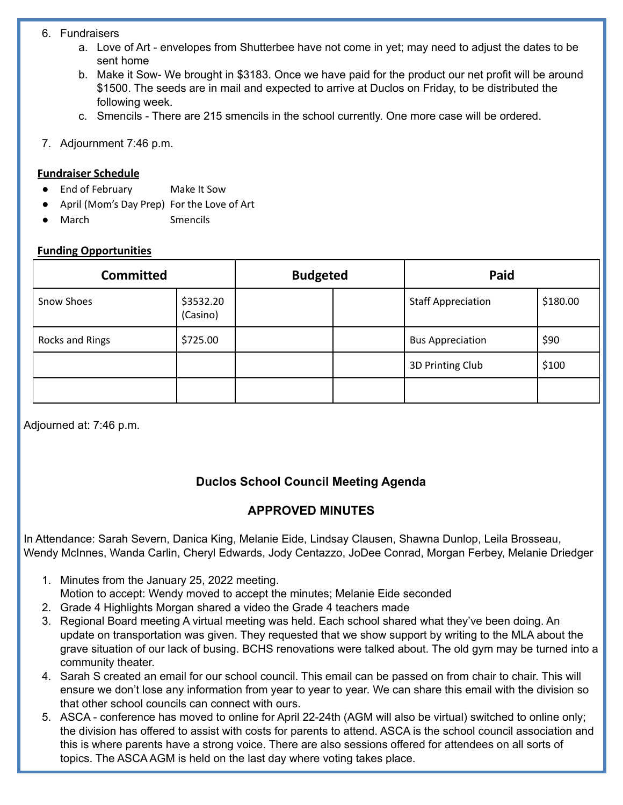#### 6. Fundraisers

- a. Love of Art envelopes from Shutterbee have not come in yet; may need to adjust the dates to be sent home
- b. Make it Sow- We brought in \$3183. Once we have paid for the product our net profit will be around \$1500. The seeds are in mail and expected to arrive at Duclos on Friday, to be distributed the following week.
- c. Smencils There are 215 smencils in the school currently. One more case will be ordered.
- 7. Adjournment 7:46 p.m.

### **Fundraiser Schedule**

- End of February Make It Sow
- April (Mom's Day Prep) For the Love of Art
- March Smencils

#### **Funding Opportunities**

| <b>Committed</b>  |                       | <b>Budgeted</b> |  | Paid                      |          |
|-------------------|-----------------------|-----------------|--|---------------------------|----------|
| <b>Snow Shoes</b> | \$3532.20<br>(Casino) |                 |  | <b>Staff Appreciation</b> | \$180.00 |
| Rocks and Rings   | \$725.00              |                 |  | <b>Bus Appreciation</b>   | \$90     |
|                   |                       |                 |  | 3D Printing Club          | \$100    |
|                   |                       |                 |  |                           |          |

Adjourned at: 7:46 p.m.

# **Duclos School Council Meeting Agenda**

# **APPROVED MINUTES**

In Attendance: Sarah Severn, Danica King, Melanie Eide, Lindsay Clausen, Shawna Dunlop, Leila Brosseau, Wendy McInnes, Wanda Carlin, Cheryl Edwards, Jody Centazzo, JoDee Conrad, Morgan Ferbey, Melanie Driedger

- 1. Minutes from the January 25, 2022 meeting. Motion to accept: Wendy moved to accept the minutes; Melanie Eide seconded
- 2. Grade 4 Highlights Morgan shared a video the Grade 4 teachers made
- 3. Regional Board meeting A virtual meeting was held. Each school shared what they've been doing. An update on transportation was given. They requested that we show support by writing to the MLA about the grave situation of our lack of busing. BCHS renovations were talked about. The old gym may be turned into a community theater.
- 4. Sarah S created an email for our school council. This email can be passed on from chair to chair. This will ensure we don't lose any information from year to year to year. We can share this email with the division so that other school councils can connect with ours.
- 5. ASCA conference has moved to online for April 22-24th (AGM will also be virtual) switched to online only; the division has offered to assist with costs for parents to attend. ASCA is the school council association and this is where parents have a strong voice. There are also sessions offered for attendees on all sorts of topics. The ASCA AGM is held on the last day where voting takes place.